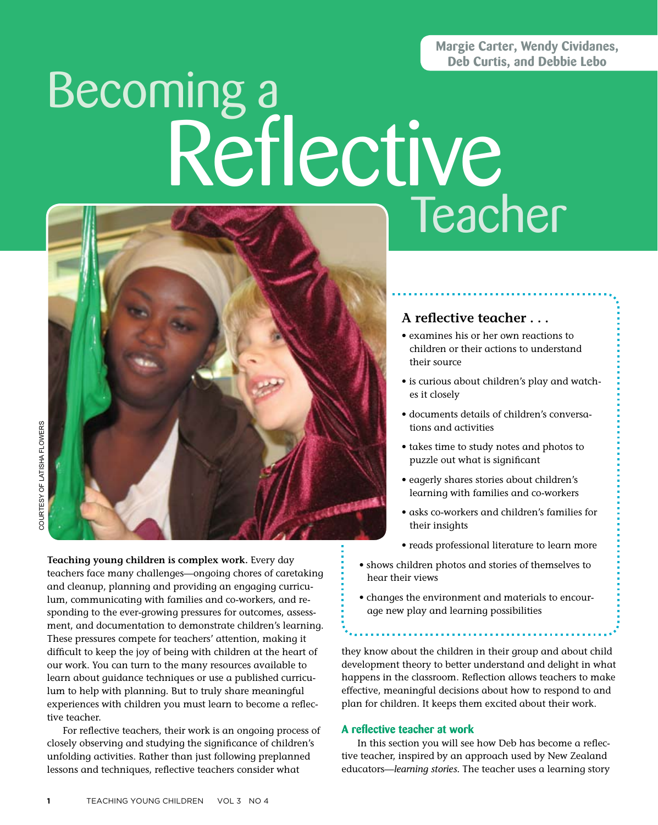### **Margie Carter, Wendy Cividanes, Deb Curtis, and Debbie Lebo**

# Becoming a Teacher Reflective



courtesy of LaTisha Flowers COURTESY OF LATISHA FLOWERS

> **Teaching young children is complex work.** Every day teachers face many challenges—ongoing chores of caretaking and cleanup, planning and providing an engaging curriculum, communicating with families and co-workers, and responding to the ever-growing pressures for outcomes, assessment, and documentation to demonstrate children's learning. These pressures compete for teachers' attention, making it difficult to keep the joy of being with children at the heart of our work. You can turn to the many resources available to learn about guidance techniques or use a published curriculum to help with planning. But to truly share meaningful experiences with children you must learn to become a reflective teacher.

For reflective teachers, their work is an ongoing process of closely observing and studying the significance of children's unfolding activities. Rather than just following preplanned lessons and techniques, reflective teachers consider what

## **A reflective teacher . . .**

- examines his or her own reactions to children or their actions to understand their source
- • is curious about children's play and watches it closely
- documents details of children's conversations and activities
- • takes time to study notes and photos to puzzle out what is significant
- • eagerly shares stories about children's learning with families and co-workers
- asks co-workers and children's families for their insights
- reads professional literature to learn more
- shows children photos and stories of themselves to hear their views
- • changes the environment and materials to encourage new play and learning possibilities

they know about the children in their group and about child development theory to better understand and delight in what happens in the classroom. Reflection allows teachers to make effective, meaningful decisions about how to respond to and plan for children. It keeps them excited about their work.

#### **A reflective teacher at work**

In this section you will see how Deb has become a reflective teacher, inspired by an approach used by New Zealand educators—*learning stories.* The teacher uses a learning story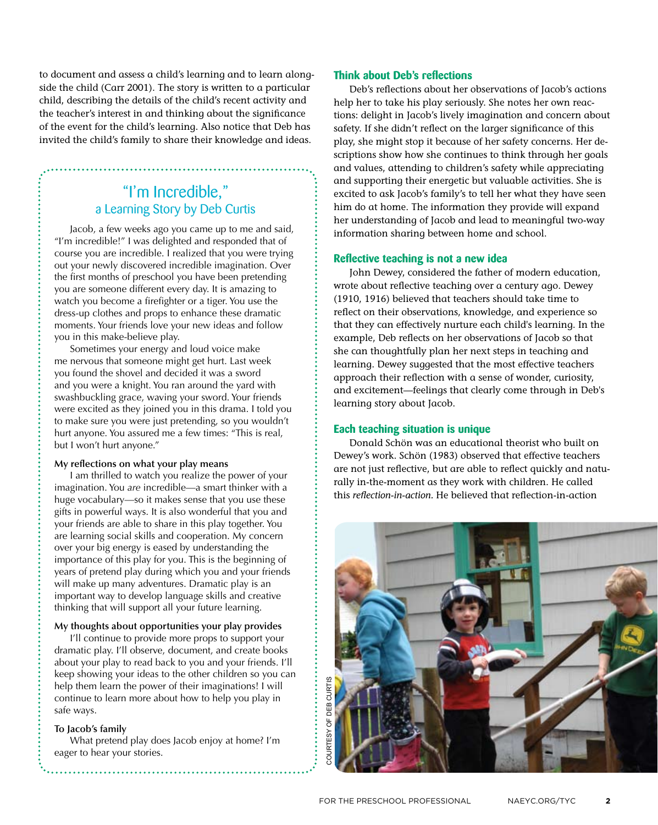to document and assess a child's learning and to learn alongside the child (Carr 2001). The story is written to a particular child, describing the details of the child's recent activity and the teacher's interest in and thinking about the significance of the event for the child's learning. Also notice that Deb has invited the child's family to share their knowledge and ideas.

# "I'm Incredible," a Learning Story by Deb Curtis

Jacob, a few weeks ago you came up to me and said, "I'm incredible!" I was delighted and responded that of course you are incredible. I realized that you were trying out your newly discovered incredible imagination. Over the first months of preschool you have been pretending you are someone different every day. It is amazing to watch you become a firefighter or a tiger. You use the dress-up clothes and props to enhance these dramatic moments. Your friends love your new ideas and follow you in this make-believe play.

Sometimes your energy and loud voice make me nervous that someone might get hurt. Last week you found the shovel and decided it was a sword and you were a knight. You ran around the yard with swashbuckling grace, waving your sword. Your friends were excited as they joined you in this drama. I told you to make sure you were just pretending, so you wouldn't hurt anyone. You assured me a few times: "This is real, but I won't hurt anyone."

#### **My reflections on what your play means**

I am thrilled to watch you realize the power of your imagination. You *are* incredible—a smart thinker with a huge vocabulary—so it makes sense that you use these gifts in powerful ways. It is also wonderful that you and your friends are able to share in this play together. You are learning social skills and cooperation. My concern over your big energy is eased by understanding the importance of this play for you. This is the beginning of years of pretend play during which you and your friends will make up many adventures. Dramatic play is an important way to develop language skills and creative thinking that will support all your future learning.

#### **My thoughts about opportunities your play provides**

I'll continue to provide more props to support your dramatic play. I'll observe, document, and create books about your play to read back to you and your friends. I'll keep showing your ideas to the other children so you can help them learn the power of their imaginations! I will continue to learn more about how to help you play in safe ways.

#### **To Jacob's family**

What pretend play does Jacob enjoy at home? I'm eager to hear your stories.

#### **Think about Deb's reflections**

Deb's reflections about her observations of Jacob's actions help her to take his play seriously. She notes her own reactions: delight in Jacob's lively imagination and concern about safety. If she didn't reflect on the larger significance of this play, she might stop it because of her safety concerns. Her descriptions show how she continues to think through her goals and values, attending to children's safety while appreciating and supporting their energetic but valuable activities. She is excited to ask Jacob's family's to tell her what they have seen him do at home. The information they provide will expand her understanding of Jacob and lead to meaningful two-way information sharing between home and school.

#### **Reflective teaching is not a new idea**

John Dewey, considered the father of modern education, wrote about reflective teaching over a century ago. Dewey (1910, 1916) believed that teachers should take time to reflect on their observations, knowledge, and experience so that they can effectively nurture each child's learning. In the example, Deb reflects on her observations of Jacob so that she can thoughtfully plan her next steps in teaching and learning. Dewey suggested that the most effective teachers approach their reflection with a sense of wonder, curiosity, and excitement—feelings that clearly come through in Deb's learning story about Jacob.

#### **Each teaching situation is unique**

Donald Schön was an educational theorist who built on Dewey's work. Schön (1983) observed that effective teachers are not just reflective, but are able to reflect quickly and naturally in-the-moment as they work with children. He called this *reflection-in-action.* He believed that reflection-in-action

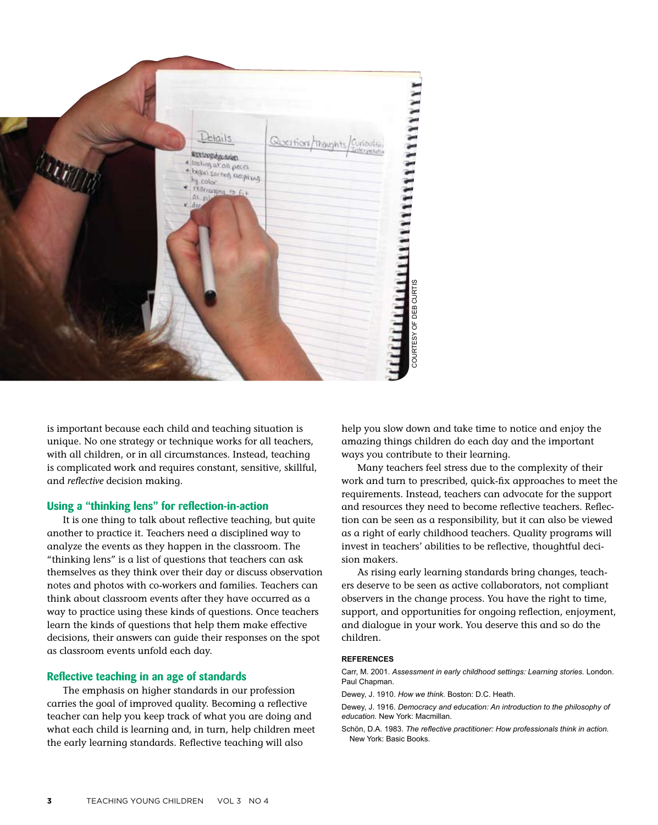

is important because each child and teaching situation is unique. No one strategy or technique works for all teachers, with all children, or in all circumstances. Instead, teaching is complicated work and requires constant, sensitive, skillful, and *reflective* decision making.

#### **Using a "thinking lens" for reflection-in-action**

It is one thing to talk about reflective teaching, but quite another to practice it. Teachers need a disciplined way to analyze the events as they happen in the classroom. The "thinking lens" is a list of questions that teachers can ask themselves as they think over their day or discuss observation notes and photos with co-workers and families. Teachers can think about classroom events after they have occurred as a way to practice using these kinds of questions. Once teachers learn the kinds of questions that help them make effective decisions, their answers can guide their responses on the spot as classroom events unfold each day.

#### **Reflective teaching in an age of standards**

The emphasis on higher standards in our profession carries the goal of improved quality. Becoming a reflective teacher can help you keep track of what you are doing and what each child is learning and, in turn, help children meet the early learning standards. Reflective teaching will also

help you slow down and take time to notice and enjoy the amazing things children do each day and the important ways you contribute to their learning.

Many teachers feel stress due to the complexity of their work and turn to prescribed, quick-fix approaches to meet the requirements. Instead, teachers can advocate for the support and resources they need to become reflective teachers. Reflection can be seen as a responsibility, but it can also be viewed as a right of early childhood teachers. Quality programs will invest in teachers' abilities to be reflective, thoughtful decision makers.

As rising early learning standards bring changes, teachers deserve to be seen as active collaborators, not compliant observers in the change process. You have the right to time, support, and opportunities for ongoing reflection, enjoyment, and dialogue in your work. You deserve this and so do the children.

#### **References**

Carr, M. 2001. *Assessment in early childhood settings: Learning stories.* London. Paul Chapman.

Dewey, J. 1910. *How we think.* Boston: D.C. Heath.

Dewey, J. 1916. *Democracy and education: An introduction to the philosophy of education.* New York: Macmillan.

Schön, D.A. 1983. *The reflective practitioner: How professionals think in action.*  New York: Basic Books.